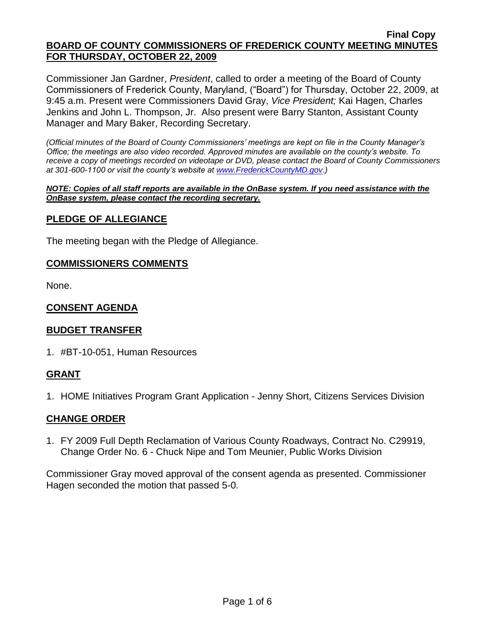Commissioner Jan Gardner, *President*, called to order a meeting of the Board of County Commissioners of Frederick County, Maryland, ("Board") for Thursday, October 22, 2009, at 9:45 a.m. Present were Commissioners David Gray, *Vice President;* Kai Hagen, Charles Jenkins and John L. Thompson, Jr. Also present were Barry Stanton, Assistant County Manager and Mary Baker, Recording Secretary.

*(Official minutes of the Board of County Commissioners' meetings are kept on file in the County Manager's Office; the meetings are also video recorded. Approved minutes are available on the county's website. To receive a copy of meetings recorded on videotape or DVD, please contact the Board of County Commissioners at 301-600-1100 or visit the county's website at [www.FrederickCountyMD.gov.](http://www.frederickcountymd.gov/))*

#### *NOTE: Copies of all staff reports are available in the OnBase system. If you need assistance with the OnBase system, please contact the recording secretary.*

## **PLEDGE OF ALLEGIANCE**

The meeting began with the Pledge of Allegiance.

#### **COMMISSIONERS COMMENTS**

None.

## **CONSENT AGENDA**

#### **BUDGET TRANSFER**

1. #BT-10-051, Human Resources

#### **GRANT**

1. HOME Initiatives Program Grant Application - Jenny Short, Citizens Services Division

#### **CHANGE ORDER**

1. FY 2009 Full Depth Reclamation of Various County Roadways, Contract No. C29919, Change Order No. 6 - Chuck Nipe and Tom Meunier, Public Works Division

Commissioner Gray moved approval of the consent agenda as presented. Commissioner Hagen seconded the motion that passed 5-0.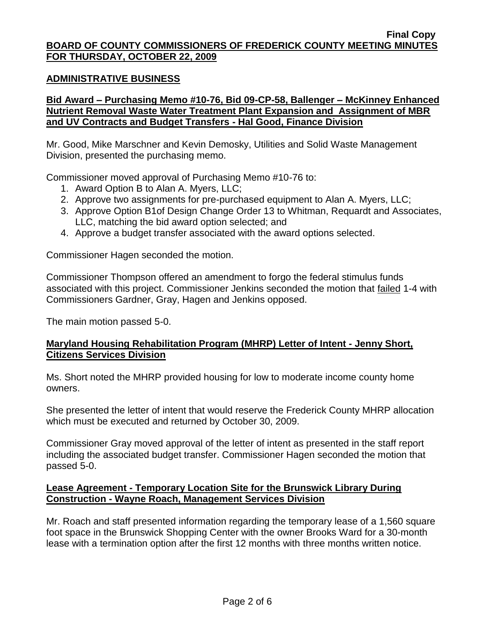#### **ADMINISTRATIVE BUSINESS**

#### **Bid Award – Purchasing Memo #10-76, Bid 09-CP-58, Ballenger – McKinney Enhanced Nutrient Removal Waste Water Treatment Plant Expansion and Assignment of MBR and UV Contracts and Budget Transfers - Hal Good, Finance Division**

Mr. Good, Mike Marschner and Kevin Demosky, Utilities and Solid Waste Management Division, presented the purchasing memo.

Commissioner moved approval of Purchasing Memo #10-76 to:

- 1. Award Option B to Alan A. Myers, LLC;
- 2. Approve two assignments for pre-purchased equipment to Alan A. Myers, LLC;
- 3. Approve Option B1of Design Change Order 13 to Whitman, Requardt and Associates, LLC, matching the bid award option selected; and
- 4. Approve a budget transfer associated with the award options selected.

Commissioner Hagen seconded the motion.

Commissioner Thompson offered an amendment to forgo the federal stimulus funds associated with this project. Commissioner Jenkins seconded the motion that failed 1-4 with Commissioners Gardner, Gray, Hagen and Jenkins opposed.

The main motion passed 5-0.

## **Maryland Housing Rehabilitation Program (MHRP) Letter of Intent - Jenny Short, Citizens Services Division**

Ms. Short noted the MHRP provided housing for low to moderate income county home owners.

She presented the letter of intent that would reserve the Frederick County MHRP allocation which must be executed and returned by October 30, 2009.

Commissioner Gray moved approval of the letter of intent as presented in the staff report including the associated budget transfer. Commissioner Hagen seconded the motion that passed 5-0.

#### **Lease Agreement - Temporary Location Site for the Brunswick Library During Construction - Wayne Roach, Management Services Division**

Mr. Roach and staff presented information regarding the temporary lease of a 1,560 square foot space in the Brunswick Shopping Center with the owner Brooks Ward for a 30-month lease with a termination option after the first 12 months with three months written notice.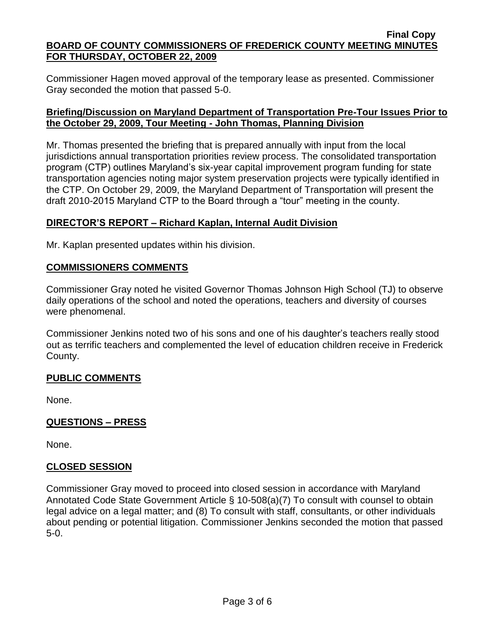Commissioner Hagen moved approval of the temporary lease as presented. Commissioner Gray seconded the motion that passed 5-0.

#### **Briefing/Discussion on Maryland Department of Transportation Pre-Tour Issues Prior to the October 29, 2009, Tour Meeting - John Thomas, Planning Division**

Mr. Thomas presented the briefing that is prepared annually with input from the local jurisdictions annual transportation priorities review process. The consolidated transportation program (CTP) outlines Maryland's six-year capital improvement program funding for state transportation agencies noting major system preservation projects were typically identified in the CTP. On October 29, 2009, the Maryland Department of Transportation will present the draft 2010-2015 Maryland CTP to the Board through a "tour" meeting in the county.

## **DIRECTOR'S REPORT – Richard Kaplan, Internal Audit Division**

Mr. Kaplan presented updates within his division.

## **COMMISSIONERS COMMENTS**

Commissioner Gray noted he visited Governor Thomas Johnson High School (TJ) to observe daily operations of the school and noted the operations, teachers and diversity of courses were phenomenal.

Commissioner Jenkins noted two of his sons and one of his daughter's teachers really stood out as terrific teachers and complemented the level of education children receive in Frederick County.

# **PUBLIC COMMENTS**

None.

#### **QUESTIONS – PRESS**

None.

#### **CLOSED SESSION**

Commissioner Gray moved to proceed into closed session in accordance with Maryland Annotated Code State Government Article § 10-508(a)(7) To consult with counsel to obtain legal advice on a legal matter; and (8) To consult with staff, consultants, or other individuals about pending or potential litigation. Commissioner Jenkins seconded the motion that passed 5-0.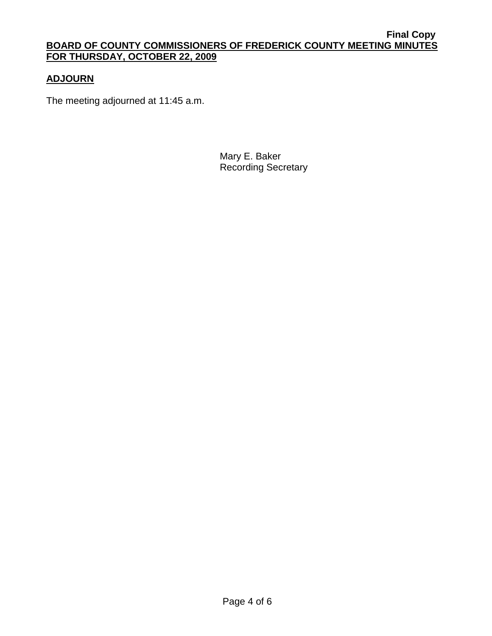# **ADJOURN**

The meeting adjourned at 11:45 a.m.

Mary E. Baker Recording Secretary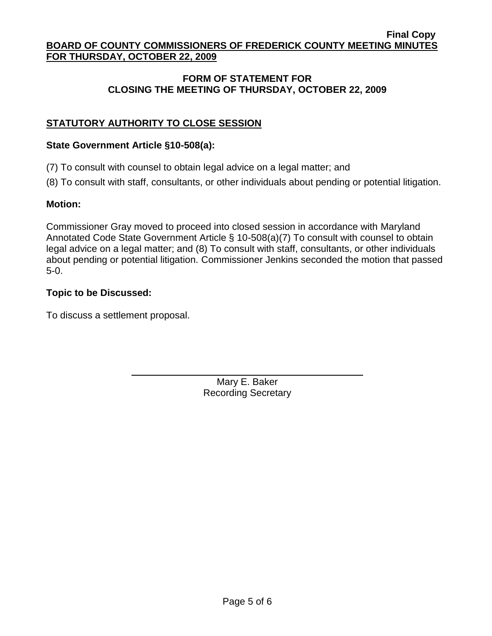## **FORM OF STATEMENT FOR CLOSING THE MEETING OF THURSDAY, OCTOBER 22, 2009**

# **STATUTORY AUTHORITY TO CLOSE SESSION**

#### **State Government Article §10-508(a):**

(7) To consult with counsel to obtain legal advice on a legal matter; and

(8) To consult with staff, consultants, or other individuals about pending or potential litigation.

## **Motion:**

Commissioner Gray moved to proceed into closed session in accordance with Maryland Annotated Code State Government Article § 10-508(a)(7) To consult with counsel to obtain legal advice on a legal matter; and (8) To consult with staff, consultants, or other individuals about pending or potential litigation. Commissioner Jenkins seconded the motion that passed 5-0.

## **Topic to be Discussed:**

To discuss a settlement proposal.

Mary E. Baker Recording Secretary